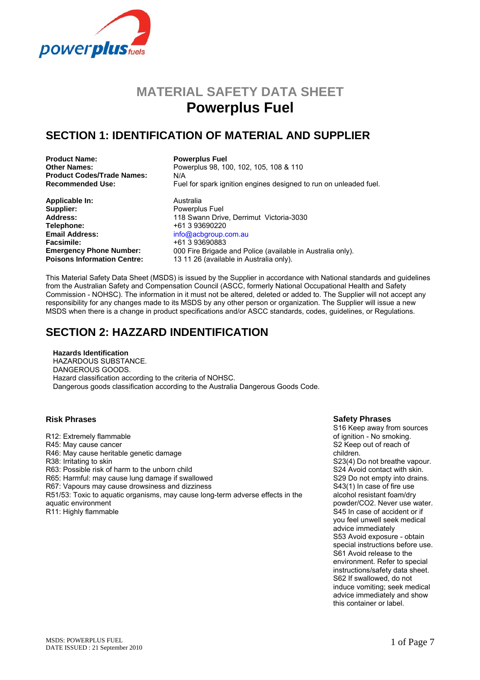

# **MATERIAL SAFETY DATA SHEET Powerplus Fuel**

### **SECTION 1: IDENTIFICATION OF MATERIAL AND SUPPLIER**

**Product Name: Powerplus Fuel Product Codes/Trade Names:** N/A<br>**Recommended Use:** Fue

**Applicable In:** Australia<br> **Supplier:** Powerplu **Telephone:** +61 3 93690220 **Email Address:** info@acbgroup.com.au<br> **Facsimile:** info@acbgroup.com.au **Facsimile:** +61 3 93690883<br> **Emergency Phone Number:** 000 Fire Brigade

**Other Names:** Powerplus 98, 100, 102, 105, 108 & 110 Fuel for spark ignition engines designed to run on unleaded fuel.

Powerplus Fuel **Address:** 118 Swann Drive, Derrimut Victoria-3030<br> **Telephone:** 18 93690220 000 Fire Brigade and Police (available in Australia only). **Poisons Information Centre:** 13 11 26 (available in Australia only).

This Material Safety Data Sheet (MSDS) is issued by the Supplier in accordance with National standards and guidelines from the Australian Safety and Compensation Council (ASCC, formerly National Occupational Health and Safety Commission - NOHSC). The information in it must not be altered, deleted or added to. The Supplier will not accept any responsibility for any changes made to its MSDS by any other person or organization. The Supplier will issue a new MSDS when there is a change in product specifications and/or ASCC standards, codes, guidelines, or Regulations.

### **SECTION 2: HAZZARD INDENTIFICATION**

**Hazards Identification**  HAZARDOUS SUBSTANCE. DANGEROUS GOODS. Hazard classification according to the criteria of NOHSC. Dangerous goods classification according to the Australia Dangerous Goods Code.

R12: Extremely flammable R45: May cause cancer R46: May cause heritable genetic damage R38: Irritating to skin R63: Possible risk of harm to the unborn child R65: Harmful: may cause lung damage if swallowed R67: Vapours may cause drowsiness and dizziness R51/53: Toxic to aquatic organisms, may cause long-term adverse effects in the aquatic environment R11: Highly flammable

#### **Risk Phrases Safety Phrases**

S16 Keep away from sources of ignition - No smoking. S2 Keep out of reach of children. S23(4) Do not breathe vapour. S24 Avoid contact with skin. S29 Do not empty into drains. S43(1) In case of fire use alcohol resistant foam/dry powder/CO2. Never use water. S45 In case of accident or if you feel unwell seek medical advice immediately S53 Avoid exposure - obtain special instructions before use. S61 Avoid release to the environment. Refer to special instructions/safety data sheet. S62 If swallowed, do not induce vomiting; seek medical advice immediately and show this container or label.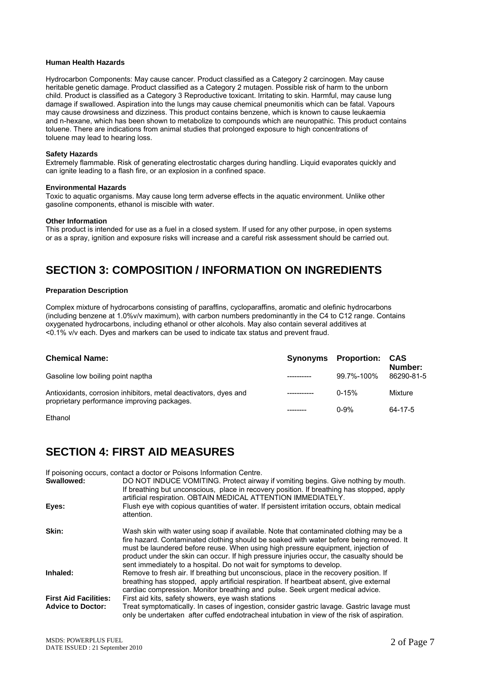#### **Human Health Hazards**

Hydrocarbon Components: May cause cancer. Product classified as a Category 2 carcinogen. May cause heritable genetic damage. Product classified as a Category 2 mutagen. Possible risk of harm to the unborn child. Product is classified as a Category 3 Reproductive toxicant. Irritating to skin. Harmful, may cause lung damage if swallowed. Aspiration into the lungs may cause chemical pneumonitis which can be fatal. Vapours may cause drowsiness and dizziness. This product contains benzene, which is known to cause leukaemia and n-hexane, which has been shown to metabolize to compounds which are neuropathic. This product contains toluene. There are indications from animal studies that prolonged exposure to high concentrations of toluene may lead to hearing loss.

#### **Safety Hazards**

Extremely flammable. Risk of generating electrostatic charges during handling. Liquid evaporates quickly and can ignite leading to a flash fire, or an explosion in a confined space.

#### **Environmental Hazards**

Toxic to aquatic organisms. May cause long term adverse effects in the aquatic environment. Unlike other gasoline components, ethanol is miscible with water.

#### **Other Information**

This product is intended for use as a fuel in a closed system. If used for any other purpose, in open systems or as a spray, ignition and exposure risks will increase and a careful risk assessment should be carried out.

### **SECTION 3: COMPOSITION / INFORMATION ON INGREDIENTS**

#### **Preparation Description**

Complex mixture of hydrocarbons consisting of paraffins, cycloparaffins, aromatic and olefinic hydrocarbons (including benzene at 1.0%v/v maximum), with carbon numbers predominantly in the C4 to C12 range. Contains oxygenated hydrocarbons, including ethanol or other alcohols. May also contain several additives at <0.1% v/v each. Dyes and markers can be used to indicate tax status and prevent fraud.

| <b>Chemical Name:</b>                                                                                           | <b>Synonyms</b> Proportion: | CAS<br>Number: |
|-----------------------------------------------------------------------------------------------------------------|-----------------------------|----------------|
| Gasoline low boiling point naptha                                                                               | 99.7%-100%                  | 86290-81-5     |
| Antioxidants, corrosion inhibitors, metal deactivators, dyes and<br>proprietary performance improving packages. | $0 - 15%$                   | Mixture        |
|                                                                                                                 | $0 - 9%$                    | 64-17-5        |

#### Ethanol

#### **SECTION 4: FIRST AID MEASURES**

If poisoning occurs, contact a doctor or Poisons Information Centre.

| Swallowed:                   | DO NOT INDUCE VOMITING. Protect airway if vomiting begins. Give nothing by mouth.<br>If breathing but unconscious, place in recovery position. If breathing has stopped, apply<br>artificial respiration. OBTAIN MEDICAL ATTENTION IMMEDIATELY.                                                                                                                                                                                            |
|------------------------------|--------------------------------------------------------------------------------------------------------------------------------------------------------------------------------------------------------------------------------------------------------------------------------------------------------------------------------------------------------------------------------------------------------------------------------------------|
| Eyes:                        | Flush eye with copious quantities of water. If persistent irritation occurs, obtain medical<br>attention.                                                                                                                                                                                                                                                                                                                                  |
| Skin:                        | Wash skin with water using soap if available. Note that contaminated clothing may be a<br>fire hazard. Contaminated clothing should be soaked with water before being removed. It<br>must be laundered before reuse. When using high pressure equipment, injection of<br>product under the skin can occur. If high pressure injuries occur, the casualty should be<br>sent immediately to a hospital. Do not wait for symptoms to develop. |
| Inhaled:                     | Remove to fresh air. If breathing but unconscious, place in the recovery position. If<br>breathing has stopped, apply artificial respiration. If heartbeat absent, give external<br>cardiac compression. Monitor breathing and pulse. Seek urgent medical advice.                                                                                                                                                                          |
| <b>First Aid Facilities:</b> | First aid kits, safety showers, eye wash stations                                                                                                                                                                                                                                                                                                                                                                                          |
| <b>Advice to Doctor:</b>     | Treat symptomatically. In cases of ingestion, consider gastric lavage. Gastric lavage must<br>only be undertaken after cuffed endotracheal intubation in view of the risk of aspiration.                                                                                                                                                                                                                                                   |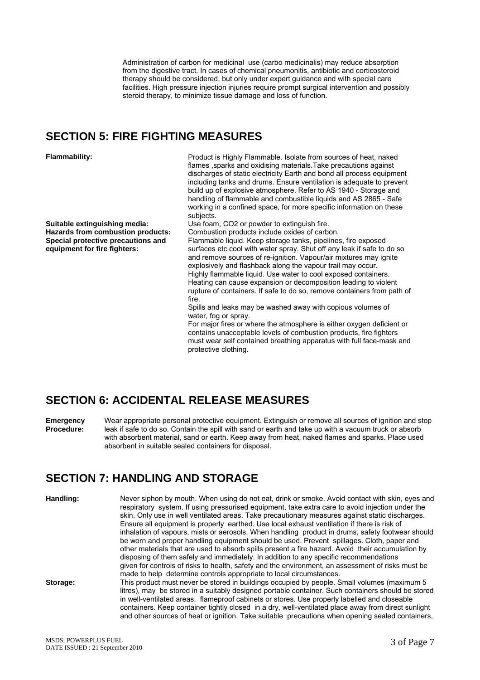Administration of carbon for medicinal use (carbo medicinalis) may reduce absorption from the digestive tract. In cases of chemical pneumonitis, antibiotic and corticosteroid therapy should be considered, but only under expert guidance and with special care facilities. High pressure injection injuries require prompt surgical intervention and possibly steroid therapy, to minimize tissue damage and loss of function.

#### **SECTION 5: FIRE FIGHTING MEASURES**

**Suitable extinguishing media:** Use foam, CO2 or powder to extinguish fire. **Special protective precautions and equipment for fire fighters:** 

**Flammability:** Product is Highly Flammable. Isolate from sources of heat, naked flames ,sparks and oxidising materials.Take precautions against discharges of static electricity Earth and bond all process equipment including tanks and drums. Ensure ventilation is adequate to prevent build up of explosive atmosphere. Refer to AS 1940 - Storage and handling of flammable and combustible liquids and AS 2865 - Safe working in a confined space, for more specific information on these subjects.

Combustion products include oxides of carbon. Flammable liquid. Keep storage tanks, pipelines, fire exposed surfaces etc cool with water spray. Shut off any leak if safe to do so and remove sources of re-ignition. Vapour/air mixtures may ignite explosively and flashback along the vapour trail may occur. Highly flammable liquid. Use water to cool exposed containers.

Heating can cause expansion or decomposition leading to violent rupture of containers. If safe to do so, remove containers from path of fire.

Spills and leaks may be washed away with copious volumes of water, fog or spray.

For major fires or where the atmosphere is either oxygen deficient or contains unacceptable levels of combustion products, fire fighters must wear self contained breathing apparatus with full face-mask and protective clothing.

### **SECTION 6: ACCIDENTAL RELEASE MEASURES**

**Emergency Procedure:** Wear appropriate personal protective equipment. Extinguish or remove all sources of ignition and stop leak if safe to do so. Contain the spill with sand or earth and take up with a vacuum truck or absorb with absorbent material, sand or earth. Keep away from heat, naked flames and sparks. Place used absorbent in suitable sealed containers for disposal.

### **SECTION 7: HANDLING AND STORAGE**

| Handling: | Never siphon by mouth. When using do not eat, drink or smoke. Avoid contact with skin, eyes and<br>respiratory system. If using pressurised equipment, take extra care to avoid injection under the<br>skin. Only use in well ventilated areas. Take precautionary measures against static discharges.<br>Ensure all equipment is properly earthed. Use local exhaust ventilation if there is risk of<br>inhalation of vapours, mists or aerosols. When handling product in drums, safety footwear should<br>be worn and proper handling equipment should be used. Prevent spillages. Cloth, paper and<br>other materials that are used to absorb spills present a fire hazard. Avoid their accumulation by<br>disposing of them safely and immediately. In addition to any specific recommendations<br>given for controls of risks to health, safety and the environment, an assessment of risks must be<br>made to help determine controls appropriate to local circumstances. |
|-----------|----------------------------------------------------------------------------------------------------------------------------------------------------------------------------------------------------------------------------------------------------------------------------------------------------------------------------------------------------------------------------------------------------------------------------------------------------------------------------------------------------------------------------------------------------------------------------------------------------------------------------------------------------------------------------------------------------------------------------------------------------------------------------------------------------------------------------------------------------------------------------------------------------------------------------------------------------------------------------------|
| Storage:  | This product must never be stored in buildings occupied by people. Small volumes (maximum 5)<br>litres), may be stored in a suitably designed portable container. Such containers should be stored<br>in well-ventilated areas, flameproof cabinets or stores. Use properly labelled and closeable<br>containers. Keep container tightly closed in a dry, well-ventilated place away from direct sunlight<br>and other sources of heat or ignition. Take suitable precautions when opening sealed containers,                                                                                                                                                                                                                                                                                                                                                                                                                                                                    |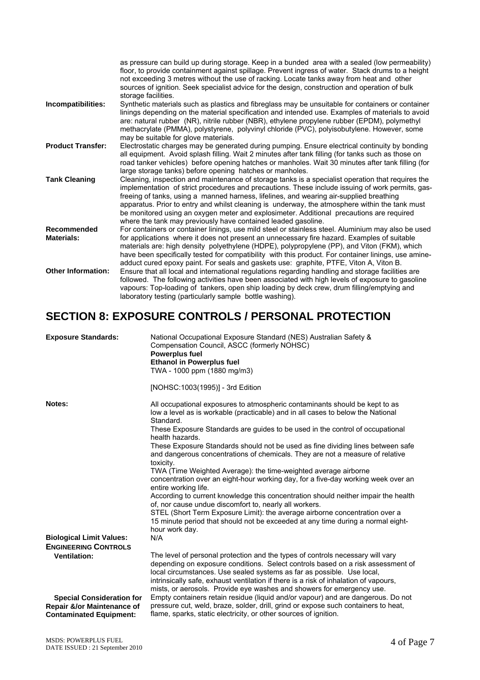|                                  | as pressure can build up during storage. Keep in a bunded area with a sealed (low permeability)<br>floor, to provide containment against spillage. Prevent ingress of water. Stack drums to a height<br>not exceeding 3 metres without the use of racking. Locate tanks away from heat and other<br>sources of ignition. Seek specialist advice for the design, construction and operation of bulk<br>storage facilities.                                                                                                                                       |
|----------------------------------|-----------------------------------------------------------------------------------------------------------------------------------------------------------------------------------------------------------------------------------------------------------------------------------------------------------------------------------------------------------------------------------------------------------------------------------------------------------------------------------------------------------------------------------------------------------------|
| Incompatibilities:               | Synthetic materials such as plastics and fibreglass may be unsuitable for containers or container<br>linings depending on the material specification and intended use. Examples of materials to avoid<br>are: natural rubber (NR), nitrile rubber (NBR), ethylene propylene rubber (EPDM), polymethyl<br>methacrylate (PMMA), polystyrene, polyvinyl chloride (PVC), polyisobutylene. However, some<br>may be suitable for glove materials.                                                                                                                     |
| <b>Product Transfer:</b>         | Electrostatic charges may be generated during pumping. Ensure electrical continuity by bonding<br>all equipment. Avoid splash filling. Wait 2 minutes after tank filling (for tanks such as those on<br>road tanker vehicles) before opening hatches or manholes. Wait 30 minutes after tank filling (for<br>large storage tanks) before opening hatches or manholes.                                                                                                                                                                                           |
| <b>Tank Cleaning</b>             | Cleaning, inspection and maintenance of storage tanks is a specialist operation that requires the<br>implementation of strict procedures and precautions. These include issuing of work permits, gas-<br>freeing of tanks, using a manned harness, lifelines, and wearing air-supplied breathing<br>apparatus. Prior to entry and whilst cleaning is underway, the atmosphere within the tank must<br>be monitored using an oxygen meter and explosimeter. Additional precautions are required<br>where the tank may previously have contained leaded gasoline. |
| Recommended<br><b>Materials:</b> | For containers or container linings, use mild steel or stainless steel. Aluminium may also be used<br>for applications where it does not present an unnecessary fire hazard. Examples of suitable<br>materials are: high density polyethylene (HDPE), polypropylene (PP), and Viton (FKM), which<br>have been specifically tested for compatibility with this product. For container linings, use amine-<br>adduct cured epoxy paint. For seals and gaskets use: graphite, PTFE, Viton A, Viton B.                                                              |
| Other Information:               | Ensure that all local and international regulations regarding handling and storage facilities are<br>followed. The following activities have been associated with high levels of exposure to gasoline<br>vapours: Top-loading of tankers, open ship loading by deck crew, drum filling/emptying and<br>laboratory testing (particularly sample bottle washing).                                                                                                                                                                                                 |

## **SECTION 8: EXPOSURE CONTROLS / PERSONAL PROTECTION**

| <b>Exposure Standards:</b>                                                                       | National Occupational Exposure Standard (NES) Australian Safety &<br>Compensation Council, ASCC (formerly NOHSC)<br><b>Powerplus fuel</b><br><b>Ethanol in Powerplus fuel</b><br>TWA - 1000 ppm (1880 mg/m3)                                                                                                                                                                                                                                                                                                                                                                                                                                                                                                                                                                                                                                                                                                                                                       |
|--------------------------------------------------------------------------------------------------|--------------------------------------------------------------------------------------------------------------------------------------------------------------------------------------------------------------------------------------------------------------------------------------------------------------------------------------------------------------------------------------------------------------------------------------------------------------------------------------------------------------------------------------------------------------------------------------------------------------------------------------------------------------------------------------------------------------------------------------------------------------------------------------------------------------------------------------------------------------------------------------------------------------------------------------------------------------------|
|                                                                                                  | [NOHSC:1003(1995)] - 3rd Edition                                                                                                                                                                                                                                                                                                                                                                                                                                                                                                                                                                                                                                                                                                                                                                                                                                                                                                                                   |
| Notes:                                                                                           | All occupational exposures to atmospheric contaminants should be kept to as<br>low a level as is workable (practicable) and in all cases to below the National<br>Standard.<br>These Exposure Standards are guides to be used in the control of occupational<br>health hazards.<br>These Exposure Standards should not be used as fine dividing lines between safe<br>and dangerous concentrations of chemicals. They are not a measure of relative<br>toxicity.<br>TWA (Time Weighted Average): the time-weighted average airborne<br>concentration over an eight-hour working day, for a five-day working week over an<br>entire working life.<br>According to current knowledge this concentration should neither impair the health<br>of, nor cause undue discomfort to, nearly all workers.<br>STEL (Short Term Exposure Limit): the average airborne concentration over a<br>15 minute period that should not be exceeded at any time during a normal eight- |
|                                                                                                  | hour work day.<br>N/A                                                                                                                                                                                                                                                                                                                                                                                                                                                                                                                                                                                                                                                                                                                                                                                                                                                                                                                                              |
| <b>Biological Limit Values:</b><br><b>ENGINEERING CONTROLS</b>                                   |                                                                                                                                                                                                                                                                                                                                                                                                                                                                                                                                                                                                                                                                                                                                                                                                                                                                                                                                                                    |
| <b>Ventilation:</b>                                                                              | The level of personal protection and the types of controls necessary will vary<br>depending on exposure conditions. Select controls based on a risk assessment of<br>local circumstances. Use sealed systems as far as possible. Use local,<br>intrinsically safe, exhaust ventilation if there is a risk of inhalation of vapours,<br>mists, or aerosols. Provide eye washes and showers for emergency use.                                                                                                                                                                                                                                                                                                                                                                                                                                                                                                                                                       |
| <b>Special Consideration for</b><br>Repair &/or Maintenance of<br><b>Contaminated Equipment:</b> | Empty containers retain residue (liquid and/or vapour) and are dangerous. Do not<br>pressure cut, weld, braze, solder, drill, grind or expose such containers to heat,<br>flame, sparks, static electricity, or other sources of ignition.                                                                                                                                                                                                                                                                                                                                                                                                                                                                                                                                                                                                                                                                                                                         |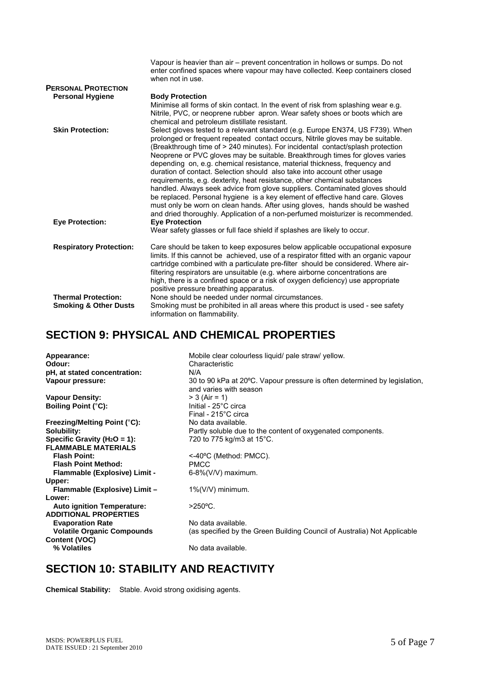|                                  | Vapour is heavier than air – prevent concentration in hollows or sumps. Do not<br>enter confined spaces where vapour may have collected. Keep containers closed<br>when not in use.                                                                                                                                                                                                                                                                                                                                                                                                                                                                                                                                                                                                                                                                                                                         |
|----------------------------------|-------------------------------------------------------------------------------------------------------------------------------------------------------------------------------------------------------------------------------------------------------------------------------------------------------------------------------------------------------------------------------------------------------------------------------------------------------------------------------------------------------------------------------------------------------------------------------------------------------------------------------------------------------------------------------------------------------------------------------------------------------------------------------------------------------------------------------------------------------------------------------------------------------------|
| <b>PERSONAL PROTECTION</b>       |                                                                                                                                                                                                                                                                                                                                                                                                                                                                                                                                                                                                                                                                                                                                                                                                                                                                                                             |
| <b>Personal Hygiene</b>          | <b>Body Protection</b>                                                                                                                                                                                                                                                                                                                                                                                                                                                                                                                                                                                                                                                                                                                                                                                                                                                                                      |
|                                  | Minimise all forms of skin contact. In the event of risk from splashing wear e.g.<br>Nitrile, PVC, or neoprene rubber apron. Wear safety shoes or boots which are<br>chemical and petroleum distillate resistant.                                                                                                                                                                                                                                                                                                                                                                                                                                                                                                                                                                                                                                                                                           |
| <b>Skin Protection:</b>          | Select gloves tested to a relevant standard (e.g. Europe EN374, US F739). When<br>prolonged or frequent repeated contact occurs, Nitrile gloves may be suitable.<br>(Breakthrough time of > 240 minutes). For incidental contact/splash protection<br>Neoprene or PVC gloves may be suitable. Breakthrough times for gloves varies<br>depending on, e.g. chemical resistance, material thickness, frequency and<br>duration of contact. Selection should also take into account other usage<br>requirements, e.g. dexterity, heat resistance, other chemical substances<br>handled. Always seek advice from glove suppliers. Contaminated gloves should<br>be replaced. Personal hygiene is a key element of effective hand care. Gloves<br>must only be worn on clean hands. After using gloves, hands should be washed<br>and dried thoroughly. Application of a non-perfumed moisturizer is recommended. |
| <b>Eye Protection:</b>           | <b>Eye Protection</b><br>Wear safety glasses or full face shield if splashes are likely to occur.                                                                                                                                                                                                                                                                                                                                                                                                                                                                                                                                                                                                                                                                                                                                                                                                           |
| <b>Respiratory Protection:</b>   | Care should be taken to keep exposures below applicable occupational exposure<br>limits. If this cannot be achieved, use of a respirator fitted with an organic vapour<br>cartridge combined with a particulate pre-filter should be considered. Where air-<br>filtering respirators are unsuitable (e.g. where airborne concentrations are<br>high, there is a confined space or a risk of oxygen deficiency) use appropriate<br>positive pressure breathing apparatus.                                                                                                                                                                                                                                                                                                                                                                                                                                    |
| <b>Thermal Protection:</b>       | None should be needed under normal circumstances.                                                                                                                                                                                                                                                                                                                                                                                                                                                                                                                                                                                                                                                                                                                                                                                                                                                           |
| <b>Smoking &amp; Other Dusts</b> | Smoking must be prohibited in all areas where this product is used - see safety<br>information on flammability.                                                                                                                                                                                                                                                                                                                                                                                                                                                                                                                                                                                                                                                                                                                                                                                             |

### **SECTION 9: PHYSICAL AND CHEMICAL PROPERTIES**

| Appearance:<br>Odour:<br>pH, at stated concentration:<br>Vapour pressure: | Mobile clear colourless liquid/ pale straw/ yellow.<br>Characteristic<br>N/A<br>30 to 90 kPa at 20°C. Vapour pressure is often determined by legislation,<br>and varies with season |
|---------------------------------------------------------------------------|-------------------------------------------------------------------------------------------------------------------------------------------------------------------------------------|
| <b>Vapour Density:</b>                                                    | $> 3$ (Air = 1)                                                                                                                                                                     |
| <b>Boiling Point (°C):</b>                                                | Initial - 25°C circa<br>Final - 215°C circa                                                                                                                                         |
| Freezing/Melting Point (°C):                                              | No data available.                                                                                                                                                                  |
| Solubility:                                                               | Partly soluble due to the content of oxygenated components.                                                                                                                         |
| Specific Gravity ( $H_2O = 1$ ):<br><b>FLAMMABLE MATERIALS</b>            | 720 to 775 kg/m3 at 15°C.                                                                                                                                                           |
| <b>Flash Point:</b>                                                       | <-40°C (Method: PMCC).                                                                                                                                                              |
| <b>Flash Point Method:</b>                                                | <b>PMCC</b>                                                                                                                                                                         |
| Flammable (Explosive) Limit -                                             | $6-8\%$ (V/V) maximum.                                                                                                                                                              |
| Upper:                                                                    |                                                                                                                                                                                     |
| Flammable (Explosive) Limit -                                             | $1\%$ (V/V) minimum.                                                                                                                                                                |
| Lower:                                                                    |                                                                                                                                                                                     |
| <b>Auto ignition Temperature:</b>                                         | $>250^{\circ}$ C.                                                                                                                                                                   |
| <b>ADDITIONAL PROPERTIES</b>                                              |                                                                                                                                                                                     |
| <b>Evaporation Rate</b>                                                   | No data available.                                                                                                                                                                  |
| <b>Volatile Organic Compounds</b>                                         | (as specified by the Green Building Council of Australia) Not Applicable                                                                                                            |
| Content (VOC)<br>% Volatiles                                              | No data available.                                                                                                                                                                  |
|                                                                           |                                                                                                                                                                                     |

### **SECTION 10: STABILITY AND REACTIVITY**

**Chemical Stability:** Stable. Avoid strong oxidising agents.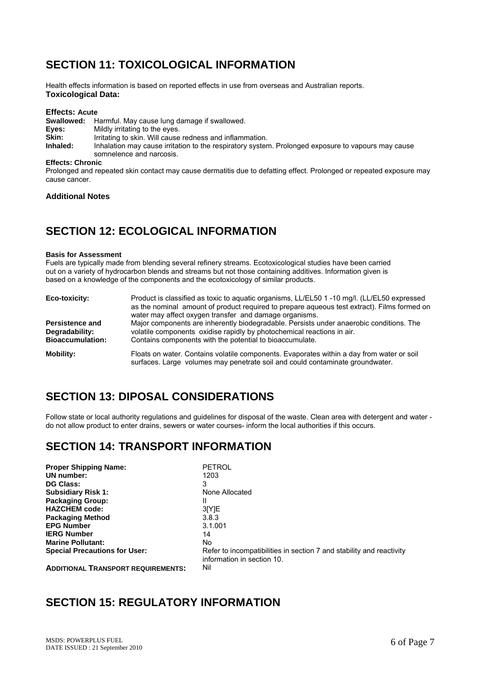### **SECTION 11: TOXICOLOGICAL INFORMATION**

Health effects information is based on reported effects in use from overseas and Australian reports. **Toxicological Data:** 

#### **Effects: Acute**

| Swallowed: | Harmful. May cause lung damage if swallowed.                                                       |
|------------|----------------------------------------------------------------------------------------------------|
| Eyes:      | Mildly irritating to the eyes.                                                                     |
| Skin:      | Irritating to skin. Will cause redness and inflammation.                                           |
| Inhaled:   | Inhalation may cause irritation to the respiratory system. Prolonged exposure to vapours may cause |
|            | somnelence and narcosis.                                                                           |

**Effects: Chronic** 

Prolonged and repeated skin contact may cause dermatitis due to defatting effect. Prolonged or repeated exposure may cause cancer.

#### **Additional Notes**

### **SECTION 12: ECOLOGICAL INFORMATION**

#### **Basis for Assessment**

Fuels are typically made from blending several refinery streams. Ecotoxicological studies have been carried out on a variety of hydrocarbon blends and streams but not those containing additives. Information given is based on a knowledge of the components and the ecotoxicology of similar products.

| Eco-toxicity:                                                                                                                                                                                                                                                                                        | Product is classified as toxic to aquatic organisms, LL/EL50 1 -10 mg/l. (LL/EL50 expressed<br>as the nominal amount of product required to prepare aqueous test extract). Films formed on<br>water may affect oxygen transfer and damage organisms. |
|------------------------------------------------------------------------------------------------------------------------------------------------------------------------------------------------------------------------------------------------------------------------------------------------------|------------------------------------------------------------------------------------------------------------------------------------------------------------------------------------------------------------------------------------------------------|
| Major components are inherently biodegradable. Persists under anaerobic conditions. The<br><b>Persistence and</b><br>volatile components oxidise rapidly by photochemical reactions in air.<br>Degradability:<br><b>Bioaccumulation:</b><br>Contains components with the potential to bioaccumulate. |                                                                                                                                                                                                                                                      |
| Mobility:                                                                                                                                                                                                                                                                                            | Floats on water. Contains volatile components. Evaporates within a day from water or soil<br>surfaces. Large volumes may penetrate soil and could contaminate groundwater.                                                                           |

### **SECTION 13: DIPOSAL CONSIDERATIONS**

Follow state or local authority regulations and guidelines for disposal of the waste. Clean area with detergent and water do not allow product to enter drains, sewers or water courses- inform the local authorities if this occurs.

### **SECTION 14: TRANSPORT INFORMATION**

| <b>Proper Shipping Name:</b>              | <b>PETROL</b>                                                                                      |
|-------------------------------------------|----------------------------------------------------------------------------------------------------|
| UN number:                                | 1203                                                                                               |
| <b>DG Class:</b>                          | 3                                                                                                  |
| <b>Subsidiary Risk 1:</b>                 | None Allocated                                                                                     |
| <b>Packaging Group:</b>                   |                                                                                                    |
| <b>HAZCHEM code:</b>                      | 3 [Y] E                                                                                            |
| <b>Packaging Method</b>                   | 3.8.3                                                                                              |
| <b>EPG Number</b>                         | 3.1.001                                                                                            |
| <b>IERG Number</b>                        | 14                                                                                                 |
| <b>Marine Pollutant:</b>                  | No.                                                                                                |
| <b>Special Precautions for User:</b>      | Refer to incompatibilities in section 7 and stability and reactivity<br>information in section 10. |
| <b>ADDITIONAL TRANSPORT REQUIREMENTS:</b> | Nil                                                                                                |

#### **SECTION 15: REGULATORY INFORMATION**